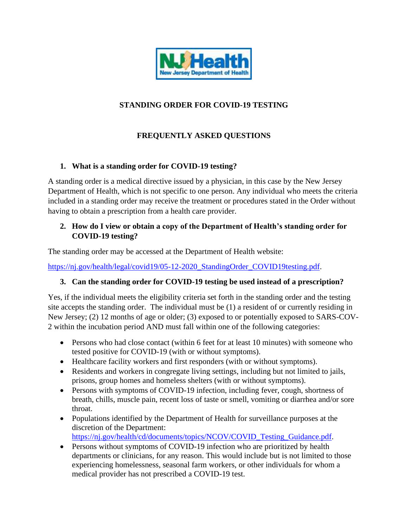

# **STANDING ORDER FOR COVID-19 TESTING**

# **FREQUENTLY ASKED QUESTIONS**

### **1. What is a standing order for COVID-19 testing?**

A standing order is a medical directive issued by a physician, in this case by the New Jersey Department of Health, which is not specific to one person. Any individual who meets the criteria included in a standing order may receive the treatment or procedures stated in the Order without having to obtain a prescription from a health care provider.

#### **2. How do I view or obtain a copy of the Department of Health's standing order for COVID-19 testing?**

The standing order may be accessed at the Department of Health website:

[https://nj.gov/health/legal/covid19/05-12-2020\\_StandingOrder\\_COVID19testing.pdf.](https://nj.gov/health/legal/covid19/05-12-2020_StandingOrder_COVID19testing.pdf)

#### **3. Can the standing order for COVID-19 testing be used instead of a prescription?**

Yes, if the individual meets the eligibility criteria set forth in the standing order and the testing site accepts the standing order. The individual must be (1) a resident of or currently residing in New Jersey; (2) 12 months of age or older; (3) exposed to or potentially exposed to SARS-COV-2 within the incubation period AND must fall within one of the following categories:

- Persons who had close contact (within 6 feet for at least 10 minutes) with someone who tested positive for COVID-19 (with or without symptoms).
- Healthcare facility workers and first responders (with or without symptoms).
- Residents and workers in congregate living settings, including but not limited to jails, prisons, group homes and homeless shelters (with or without symptoms).
- Persons with symptoms of COVID-19 infection, including fever, cough, shortness of breath, chills, muscle pain, recent loss of taste or smell, vomiting or diarrhea and/or sore throat.
- Populations identified by the Department of Health for surveillance purposes at the discretion of the Department: [https://nj.gov/health/cd/documents/topics/NCOV/COVID\\_Testing\\_Guidance.pdf.](https://nj.gov/health/cd/documents/topics/NCOV/COVID_Testing_Guidance.pdf)
- Persons without symptoms of COVID-19 infection who are prioritized by health departments or clinicians, for any reason. This would include but is not limited to those experiencing homelessness, seasonal farm workers, or other individuals for whom a medical provider has not prescribed a COVID-19 test.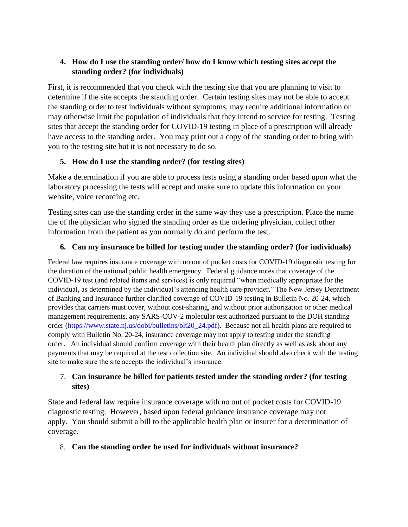### **4. How do I use the standing order/ how do I know which testing sites accept the standing order? (for individuals)**

First, it is recommended that you check with the testing site that you are planning to visit to determine if the site accepts the standing order. Certain testing sites may not be able to accept the standing order to test individuals without symptoms, may require additional information or may otherwise limit the population of individuals that they intend to service for testing. Testing sites that accept the standing order for COVID-19 testing in place of a prescription will already have access to the standing order. You may print out a copy of the standing order to bring with you to the testing site but it is not necessary to do so.

# **5. How do I use the standing order? (for testing sites)**

Make a determination if you are able to process tests using a standing order based upon what the laboratory processing the tests will accept and make sure to update this information on your website, voice recording etc.

Testing sites can use the standing order in the same way they use a prescription. Place the name the of the physician who signed the standing order as the ordering physician, collect other information from the patient as you normally do and perform the test.

### **6. Can my insurance be billed for testing under the standing order? (for individuals)**

Federal law requires insurance coverage with no out of pocket costs for COVID-19 diagnostic testing for the duration of the national public health emergency. Federal guidance notes that coverage of the COVID-19 test (and related items and services) is only required "when medically appropriate for the individual, as determined by the individual's attending health care provider." The New Jersey Department of Banking and Insurance further clarified coverage of COVID-19 testing in Bulletin No. 20-24, which provides that carriers must cover, without cost-sharing, and without prior authorization or other medical management requirements, any SARS-COV-2 molecular test authorized pursuant to the DOH standing order [\(https://www.state.nj.us/dobi/bulletins/blt20\\_24.pdf\)](https://www.state.nj.us/dobi/bulletins/blt20_24.pdf). Because not all health plans are required to comply with Bulletin No. 20-24, insurance coverage may not apply to testing under the standing order. An individual should confirm coverage with their health plan directly as well as ask about any payments that may be required at the test collection site. An individual should also check with the testing site to make sure the site accepts the individual's insurance.

#### 7. **Can insurance be billed for patients tested under the standing order? (for testing sites)**

State and federal law require insurance coverage with no out of pocket costs for COVID-19 diagnostic testing. However, based upon federal guidance insurance coverage may not apply. You should submit a bill to the applicable health plan or insurer for a determination of coverage.

#### 8. **Can the standing order be used for individuals without insurance?**